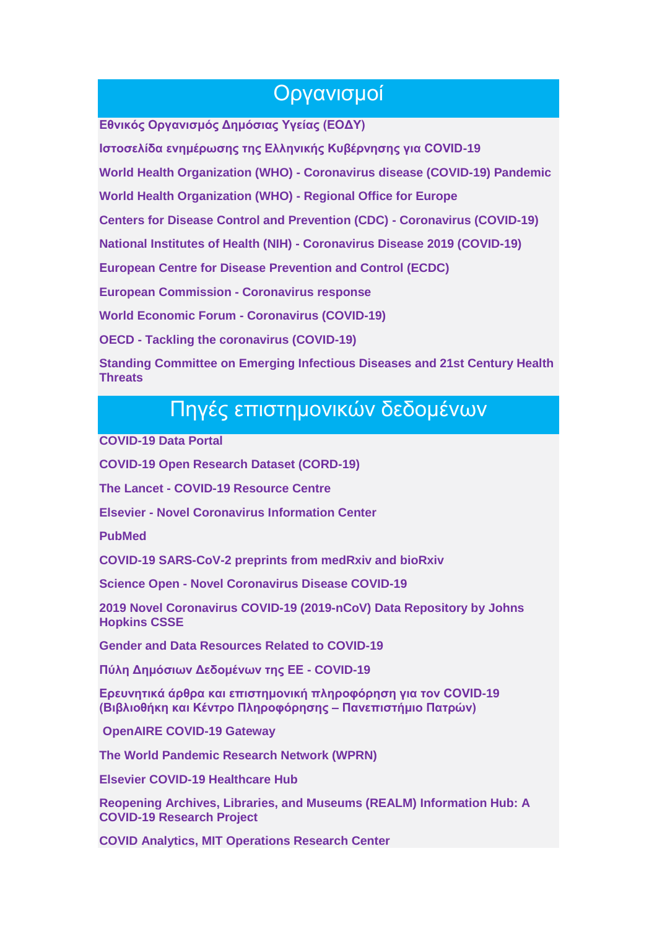### Οργανισμοί

**[Εθνικός Οργανισμός Δημόσιας Υγείας \(ΕΟΔΥ\)](https://eody.gov.gr/)**

**[Ιστοσελίδα ενημέρωσης της Ελληνικής Κυβέρνησης για COVID-19](https://covid19.gov.gr/)**

**World Health Organization (WHO) - [Coronavirus disease \(COVID-19\) Pandemic](https://www.who.int/emergencies/diseases/novel-coronavirus-2019)**

**[World Health Organization \(WHO\) -](http://www.euro.who.int/en/health-topics/health-emergencies/coronavirus-covid-19) Regional Office for Europe**

**[Centers for Disease Control and Prevention \(CDC\) -](https://www.cdc.gov/coronavirus/2019-ncov/index.html) Coronavirus (COVID-19)**

**National Institutes of Health (NIH) - [Coronavirus Disease 2019 \(COVID-19\)](https://www.nih.gov/health-information/coronavirus)**

**[Εuropean Centre for Disease Prevention and Control \(ECDC\)](https://www.ecdc.europa.eu/en/novel-coronavirus-china)**

**[European Commission -](https://ec.europa.eu/info/live-work-travel-eu/health/coronavirus-response_en) Coronavirus response**

**[World Economic Forum -](https://www.weforum.org/focus/coronavirus-covid-19) Coronavirus (COVID-19)**

**OECD - [Tackling the coronavirus \(COVID-19\)](http://www.oecd.org/coronavirus/en/)**

**[Standing Committee on Emerging Infectious Diseases and 21st Century Health](https://www.nationalacademies.org/our-work/standing-committee-on-emerging-infectious-diseases-and-21st-century-health-threats#sectionWebFriendly)  [Threats](https://www.nationalacademies.org/our-work/standing-committee-on-emerging-infectious-diseases-and-21st-century-health-threats#sectionWebFriendly)**

# Πηγές επιστημονικών δεδομένων

**[COVID-19 Data Portal](https://www.covid19dataportal.org/)**

**[COVID-19 Open Research Dataset \(CORD-19\)](https://pages.semanticscholar.org/coronavirus-research)**

**The Lancet - [COVID-19 Resource Centre](https://www.thelancet.com/coronavirus)**

**Elsevier - [Novel Coronavirus Information Center](https://www.elsevier.com/connect/coronavirus-information-center)**

**[PubMed](https://www.ncbi.nlm.nih.gov/pubmed/?term=covid-19)**

**[COVID-19 SARS-CoV-2 preprints from medRxiv and bioRxiv](http://connect.medrxiv.org/relate/content/181)**

**Science Open - [Novel Coronavirus Disease COVID-19](https://www.scienceopen.com/search#collection/69cf75fa-43dd-4518-b21d-8cc3a478fae1)**

**[2019 Novel Coronavirus COVID-19 \(2019-nCoV\) Data Repository by Johns](https://github.com/CSSEGISandData/COVID-19)  [Hopkins CSSE](https://github.com/CSSEGISandData/COVID-19)**

**[Gender and Data Resources Related to COVID-19](https://data2x.org/resource-center/gender-and-data-resources-related-to-covid-19/)**

**[Πύλη Δημόσιων Δεδομένων της ΕΕ -](https://data.europa.eu/euodp/el/data/dataset/covid-19-coronavirus-data) COVID-19**

**[Ερευνητικά άρθρα και επιστημονική πληροφόρηση για τον COVID-19](https://library.upatras.gr/news/covidinformation)  [\(Βιβλιοθήκη και Κέντρο Πληροφόρησης –](https://library.upatras.gr/news/covidinformation) Πανεπιστήμιο Πατρών)**

**[OpenAIRE COVID-19 Gateway](https://beta.covid-19.openaire.eu/)**

**[The World Pandemic Research Network \(WPRN\)](https://wprn.org/)**

**[Elsevier COVID-19 Healthcare Hub](https://covid-19.elsevier.health/)**

**[Reopening Archives, Libraries, and Museums \(REALM\) Information Hub: A](https://www.webjunction.org/explore-topics/COVID-19-research-project.html)  [COVID-19 Research Project](https://www.webjunction.org/explore-topics/COVID-19-research-project.html)**

**[COVID Analytics, MIT Operations Research Center](https://www.covidanalytics.io/home)**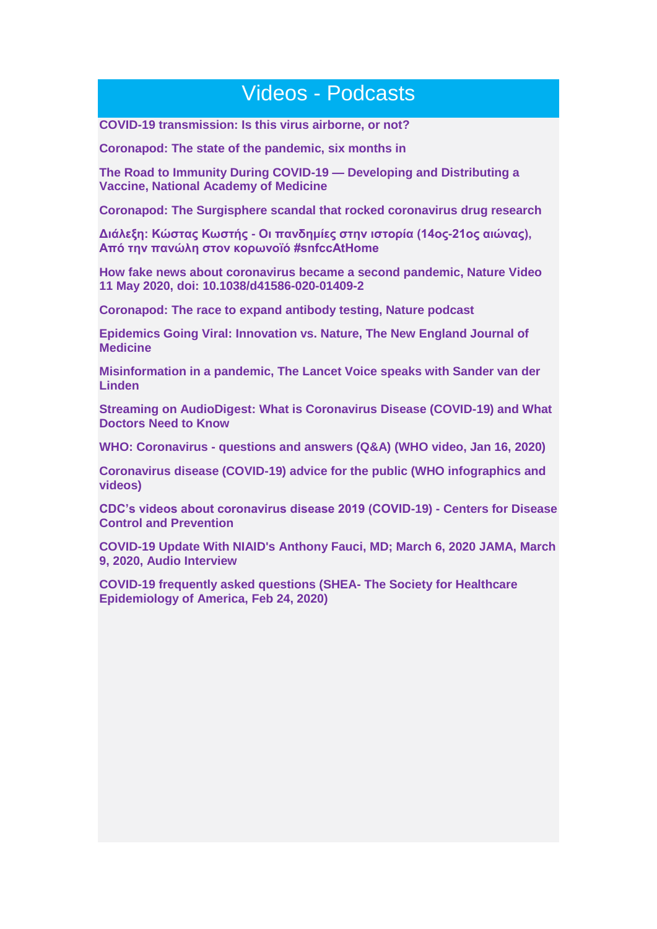## Videos - Podcasts

**[COVID-19 transmission: Is this virus airborne, or not?](https://www.nursingcenter.com/journals-articles/podcast-library/covid-19-transmission-is-this-virus-airborne,-or-n)**

**[Coronapod: The state of the pandemic, six months in](https://www.nature.com/articles/d41586-020-01953-x?utm_source=Nature%20Briefing&utm_campaign=a1a9bf577f-briefing-dy-20200629&utm_medium=email&utm_term=0_c9dfd39373-a1a9bf577f-43722117)**

**[The Road to Immunity During COVID-19 —](https://youtu.be/dC5k0fbsc40) Developing and Distributing a [Vaccine, National Academy of Medicine](https://youtu.be/dC5k0fbsc40)**

**[Coronapod: The Surgisphere scandal that rocked coronavirus drug research](https://www.nature.com/articles/d41586-020-01790-y)**

**Διάλεξη: Κώστας Κωστής - [Οι πανδημίες στην ιστορία \(14ος-21ος αιώνας\),](https://www.snfcc.org/lecture?utm_source=SNFCC%20Newsletter%20List&utm_campaign=311c7c16dd-EMAIL_CAMPAIGN_2017_10_25_COPY_03&utm_medium=email&utm_term=0_1f84fa0dd6-311c7c16dd-108415337)  [Από την πανώλη στον κορωνoϊό #snfccAtHome](https://www.snfcc.org/lecture?utm_source=SNFCC%20Newsletter%20List&utm_campaign=311c7c16dd-EMAIL_CAMPAIGN_2017_10_25_COPY_03&utm_medium=email&utm_term=0_1f84fa0dd6-311c7c16dd-108415337)**

**[How fake news about coronavirus became a second pandemic, Nature Video](https://youtu.be/wT2m3kljcSU)  [11 May 2020, doi: 10.1038/d41586-020-01409-2](https://youtu.be/wT2m3kljcSU)**

**[Coronapod: The race to expand antibody testing, Nature podcast](https://www.nature.com/articles/d41586-020-01252-5?utm_source=Nature%20Briefing&utm_campaign=2f89b48291-briefing-dy-20200427&utm_medium=email&utm_term=0_c9dfd39373-2f89b48291-43722117)**

**[Epidemics Going Viral: Innovation vs. Nature, The New England Journal of](https://interactives.nejm.org/iv/playlist/index.html?media_id=siCcYW3U&pcs=sidebar)  [Medicine](https://interactives.nejm.org/iv/playlist/index.html?media_id=siCcYW3U&pcs=sidebar)**

**[Misinformation in a pandemic, The Lancet Voice speaks with Sander van der](https://www.thelancet.com/podcasts?utm_campaign=tlcoronavirus20&utm_source=hs_email&utm_medium=email&utm_content=85659804&_hsenc=p2ANqtz-9AOxncNHTK1GIhH6-FENNTUYXO0qrXAeBcoOE7ZvvkScMmb748HVE9sSwVrNFvc5dWezuiXJT1x9F2uHeL7X29_VA5AgEHpxsTcWJKwTfmrA1jojQ&_hsmi=85659804)  [Linden](https://www.thelancet.com/podcasts?utm_campaign=tlcoronavirus20&utm_source=hs_email&utm_medium=email&utm_content=85659804&_hsenc=p2ANqtz-9AOxncNHTK1GIhH6-FENNTUYXO0qrXAeBcoOE7ZvvkScMmb748HVE9sSwVrNFvc5dWezuiXJT1x9F2uHeL7X29_VA5AgEHpxsTcWJKwTfmrA1jojQ&_hsmi=85659804)**

**[Streaming on AudioDigest: What is Coronavirus Disease \(COVID-19\) and What](https://soundcloud.com/user-709166574-669766354/covid-19-update)  [Doctors Need to Know](https://soundcloud.com/user-709166574-669766354/covid-19-update)**

**WHO: Coronavirus - [questions and answers \(Q&A\) \(WHO video, Jan 16, 2020\)](https://www.youtube.com/watch?v=OZcRD9fV7jo&)**

**[Coronavirus disease \(COVID-19\) advice for the public \(WHO infographics and](https://www.who.int/emergencies/diseases/novel-coronavirus-2019/advice-for-public)  [videos\)](https://www.who.int/emergencies/diseases/novel-coronavirus-2019/advice-for-public)**

**[CDC's videos about coronavirus disease 2019 \(COVID-19\) -](https://www.cdc.gov/coronavirus/2019-ncov/communication/videos.html) Centers for Disease [Control and Prevention](https://www.cdc.gov/coronavirus/2019-ncov/communication/videos.html)**

**[COVID-19 Update With NIAID's Anthony Fauci, MD; March 6, 2020 JAMA, March](https://edhub.ama-assn.org/jn-learning/audio-player/18297084)  [9, 2020, Audio Interview](https://edhub.ama-assn.org/jn-learning/audio-player/18297084)**

**[COVID-19 frequently asked questions \(SHEA-](https://soundcloud.com/user-788310625/covid-19-frequently-asked-questions) The Society for Healthcare [Epidemiology of America, Feb 24, 2020\)](https://soundcloud.com/user-788310625/covid-19-frequently-asked-questions)**